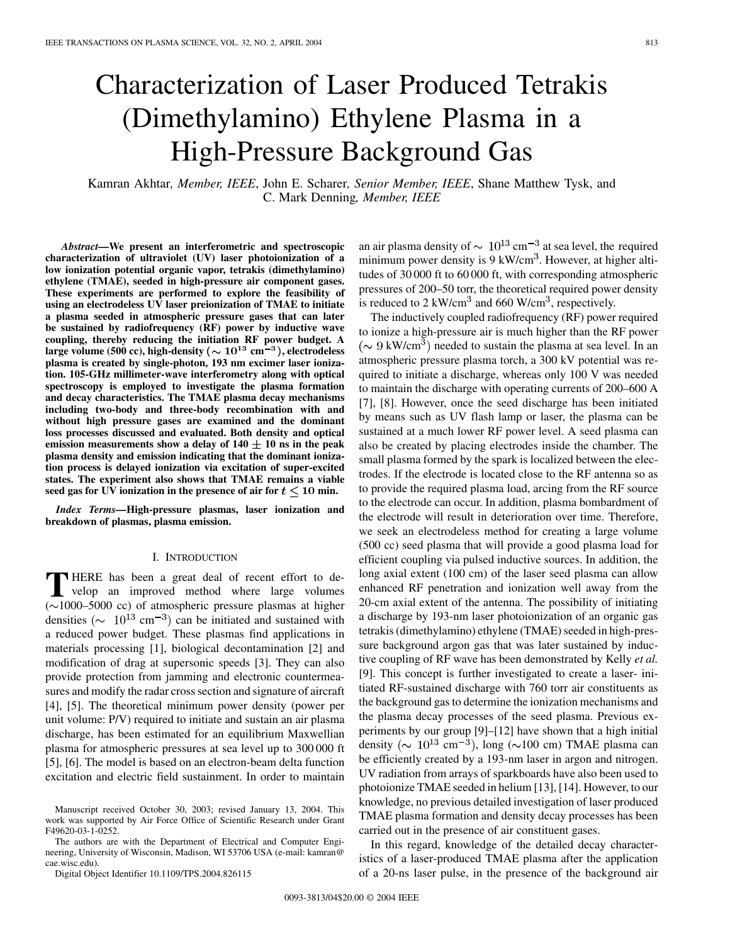# Characterization of Laser Produced Tetrakis (Dimethylamino) Ethylene Plasma in a High-Pressure Background Gas

Kamran Akhtar*, Member, IEEE*, John E. Scharer*, Senior Member, IEEE*, Shane Matthew Tysk, and C. Mark Denning*, Member, IEEE*

*Abstract—***We present an interferometric and spectroscopic characterization of ultraviolet (UV) laser photoionization of a low ionization potential organic vapor, tetrakis (dimethylamino) ethylene (TMAE), seeded in high-pressure air component gases. These experiments are performed to explore the feasibility of using an electrodeless UV laser preionization of TMAE to initiate a plasma seeded in atmospheric pressure gases that can later be sustained by radiofrequency (RF) power by inductive wave coupling, thereby reducing the initiation RF power budget. A** large volume (500 cc), high-density ( $\sim 10^{13}$  cm<sup>-3</sup>), electrodeless **plasma is created by single-photon, 193 nm excimer laser ionization. 105-GHz millimeter-wave interferometry along with optical spectroscopy is employed to investigate the plasma formation and decay characteristics. The TMAE plasma decay mechanisms including two-body and three-body recombination with and without high pressure gases are examined and the dominant loss processes discussed and evaluated. Both density and optical** emission measurements show a delay of  $140 \pm 10$  ns in the peak **plasma density and emission indicating that the dominant ionization process is delayed ionization via excitation of super-excited states. The experiment also shows that TMAE remains a viable** seed gas for UV ionization in the presence of air for  $t < 10$  min.

*Index Terms—***High-pressure plasmas, laser ionization and breakdown of plasmas, plasma emission.**

## I. INTRODUCTION

**T** HERE has been a great deal of recent effort to develop an improved method where large volumes  $(\sim 1000 - 5000 \text{ cc})$  of atmospheric pressure plasmas at higher densities ( $\sim$  10<sup>13</sup> cm<sup>-3</sup>) can be initiated and sustained with a reduced power budget. These plasmas find applications in materials processing [\[1](#page-8-0)], biological decontamination [\[2](#page-8-0)] and modification of drag at supersonic speeds [[3\]](#page-8-0). They can also provide protection from jamming and electronic countermeasures and modify the radar cross section and signature of aircraft [\[4](#page-8-0)], [[5\]](#page-8-0). The theoretical minimum power density (power per unit volume: P/V) required to initiate and sustain an air plasma discharge, has been estimated for an equilibrium Maxwellian plasma for atmospheric pressures at sea level up to 300 000 ft [\[5](#page-8-0)], [[6\]](#page-8-0). The model is based on an electron-beam delta function excitation and electric field sustainment. In order to maintain

Manuscript received October 30, 2003; revised January 13, 2004. This work was supported by Air Force Office of Scientific Research under Grant F49620-03-1-0252.

The authors are with the Department of Electrical and Computer Engineering, University of Wisconsin, Madison, WI 53706 USA (e-mail: kamran@ cae.wisc.edu).

Digital Object Identifier 10.1109/TPS.2004.826115

an air plasma density of  $\sim 10^{13}$  cm<sup>-3</sup> at sea level, the required minimum power density is  $9 \text{ kW/cm}^3$ . However, at higher altitudes of 30 000 ft to 60 000 ft, with corresponding atmospheric pressures of 200–50 torr, the theoretical required power density is reduced to 2 kW/cm<sup>3</sup> and 660 W/cm<sup>3</sup>, respectively.

The inductively coupled radiofrequency (RF) power required to ionize a high-pressure air is much higher than the RF power ( $\sim$  9 kW/cm<sup>3</sup>) needed to sustain the plasma at sea level. In an atmospheric pressure plasma torch, a 300 kV potential was required to initiate a discharge, whereas only 100 V was needed to maintain the discharge with operating currents of 200–600 A [\[7](#page-8-0)], [\[8](#page-8-0)]. However, once the seed discharge has been initiated by means such as UV flash lamp or laser, the plasma can be sustained at a much lower RF power level. A seed plasma can also be created by placing electrodes inside the chamber. The small plasma formed by the spark is localized between the electrodes. If the electrode is located close to the RF antenna so as to provide the required plasma load, arcing from the RF source to the electrode can occur. In addition, plasma bombardment of the electrode will result in deterioration over time. Therefore, we seek an electrodeless method for creating a large volume (500 cc) seed plasma that will provide a good plasma load for efficient coupling via pulsed inductive sources. In addition, the long axial extent (100 cm) of the laser seed plasma can allow enhanced RF penetration and ionization well away from the 20-cm axial extent of the antenna. The possibility of initiating a discharge by 193-nm laser photoionization of an organic gas tetrakis (dimethylamino) ethylene (TMAE) seeded in high-pressure background argon gas that was later sustained by inductive coupling of RF wave has been demonstrated by Kelly *et al.* [\[9](#page-8-0)]. This concept is further investigated to create a laser- initiated RF-sustained discharge with 760 torr air constituents as the background gas to determine the ionization mechanisms and the plasma decay processes of the seed plasma. Previous experiments by our group [\[9](#page-8-0)]–[[12\]](#page-8-0) have shown that a high initial density ( $\sim 10^{13}$  cm<sup>-3</sup>), long ( $\sim$ 100 cm) TMAE plasma can be efficiently created by a 193-nm laser in argon and nitrogen. UV radiation from arrays of sparkboards have also been used to photoionize TMAE seeded in helium [\[13](#page-8-0)], [\[14\]](#page-8-0). However, to our knowledge, no previous detailed investigation of laser produced TMAE plasma formation and density decay processes has been carried out in the presence of air constituent gases.

In this regard, knowledge of the detailed decay characteristics of a laser-produced TMAE plasma after the application of a 20-ns laser pulse, in the presence of the background air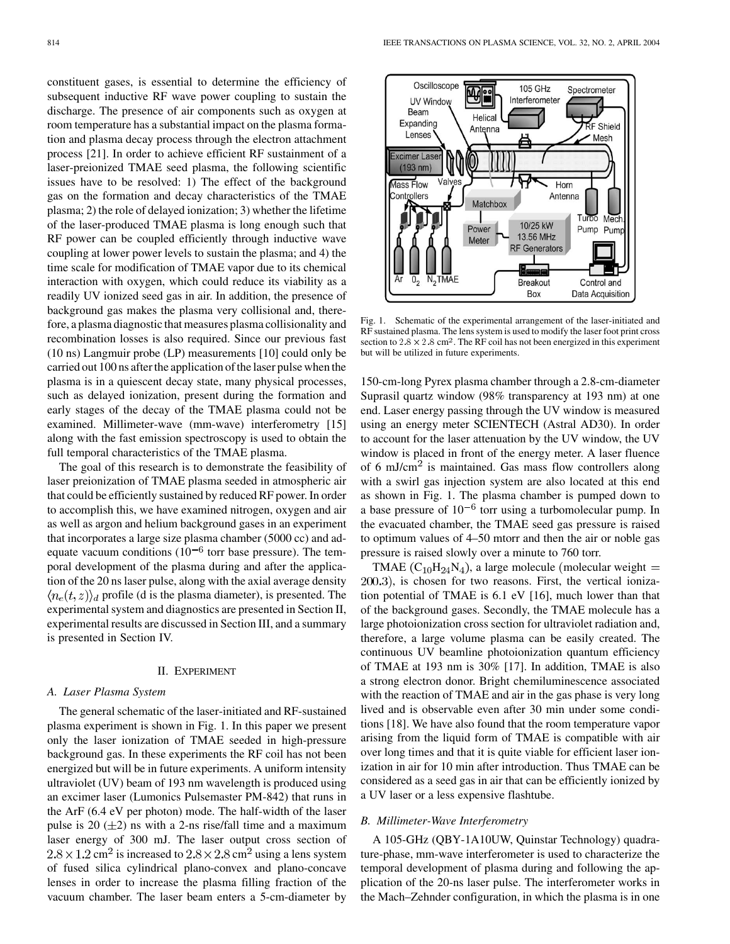constituent gases, is essential to determine the efficiency of subsequent inductive RF wave power coupling to sustain the discharge. The presence of air components such as oxygen at room temperature has a substantial impact on the plasma formation and plasma decay process through the electron attachment process [[21\]](#page-9-0). In order to achieve efficient RF sustainment of a laser-preionized TMAE seed plasma, the following scientific issues have to be resolved: 1) The effect of the background gas on the formation and decay characteristics of the TMAE plasma; 2) the role of delayed ionization; 3) whether the lifetime of the laser-produced TMAE plasma is long enough such that RF power can be coupled efficiently through inductive wave coupling at lower power levels to sustain the plasma; and 4) the time scale for modification of TMAE vapor due to its chemical interaction with oxygen, which could reduce its viability as a readily UV ionized seed gas in air. In addition, the presence of background gas makes the plasma very collisional and, therefore, a plasma diagnostic that measures plasma collisionality and recombination losses is also required. Since our previous fast (10 ns) Langmuir probe (LP) measurements [[10\]](#page-8-0) could only be carried out 100 ns after the application of the laser pulse when the plasma is in a quiescent decay state, many physical processes, such as delayed ionization, present during the formation and early stages of the decay of the TMAE plasma could not be examined. Millimeter-wave (mm-wave) interferometry [\[15](#page-8-0)] along with the fast emission spectroscopy is used to obtain the full temporal characteristics of the TMAE plasma.

The goal of this research is to demonstrate the feasibility of laser preionization of TMAE plasma seeded in atmospheric air that could be efficiently sustained by reduced RF power. In order to accomplish this, we have examined nitrogen, oxygen and air as well as argon and helium background gases in an experiment that incorporates a large size plasma chamber (5000 cc) and adequate vacuum conditions  $(10^{-6}$  torr base pressure). The temporal development of the plasma during and after the application of the 20 ns laser pulse, along with the axial average density  $\langle n_e(t,z) \rangle_d$  profile (d is the plasma diameter), is presented. The experimental system and diagnostics are presented in Section II, experimental results are discussed in Section III, and a summary is presented in Section IV.

### II. EXPERIMENT

#### *A. Laser Plasma System*

The general schematic of the laser-initiated and RF-sustained plasma experiment is shown in Fig. 1. In this paper we present only the laser ionization of TMAE seeded in high-pressure background gas. In these experiments the RF coil has not been energized but will be in future experiments. A uniform intensity ultraviolet (UV) beam of 193 nm wavelength is produced using an excimer laser (Lumonics Pulsemaster PM-842) that runs in the ArF (6.4 eV per photon) mode. The half-width of the laser pulse is 20  $(\pm 2)$  ns with a 2-ns rise/fall time and a maximum laser energy of 300 mJ. The laser output cross section of  $2.8 \times 1.2$  cm<sup>2</sup> is increased to  $2.8 \times 2.8$  cm<sup>2</sup> using a lens system of fused silica cylindrical plano-convex and plano-concave lenses in order to increase the plasma filling fraction of the vacuum chamber. The laser beam enters a 5-cm-diameter by



Fig. 1. Schematic of the experimental arrangement of the laser-initiated and RF sustained plasma. The lens system is used to modify the laser foot print cross section to  $2.8 \times 2.8$  cm<sup>2</sup>. The RF coil has not been energized in this experiment but will be utilized in future experiments.

150-cm-long Pyrex plasma chamber through a 2.8-cm-diameter Suprasil quartz window (98% transparency at 193 nm) at one end. Laser energy passing through the UV window is measured using an energy meter SCIENTECH (Astral AD30). In order to account for the laser attenuation by the UV window, the UV window is placed in front of the energy meter. A laser fluence of 6 mJ/cm<sup>2</sup> is maintained. Gas mass flow controllers along with a swirl gas injection system are also located at this end as shown in Fig. 1. The plasma chamber is pumped down to a base pressure of  $10^{-6}$  torr using a turbomolecular pump. In the evacuated chamber, the TMAE seed gas pressure is raised to optimum values of 4–50 mtorr and then the air or noble gas pressure is raised slowly over a minute to 760 torr.

TMAE  $(C_{10}H_{24}N_4)$ , a large molecule (molecular weight =  $200.3$ ), is chosen for two reasons. First, the vertical ionization potential of TMAE is 6.1 eV [[16\]](#page-8-0), much lower than that of the background gases. Secondly, the TMAE molecule has a large photoionization cross section for ultraviolet radiation and, therefore, a large volume plasma can be easily created. The continuous UV beamline photoionization quantum efficiency of TMAE at 193 nm is 30% [\[17](#page-8-0)]. In addition, TMAE is also a strong electron donor. Bright chemiluminescence associated with the reaction of TMAE and air in the gas phase is very long lived and is observable even after 30 min under some conditions [[18\]](#page-8-0). We have also found that the room temperature vapor arising from the liquid form of TMAE is compatible with air over long times and that it is quite viable for efficient laser ionization in air for 10 min after introduction. Thus TMAE can be considered as a seed gas in air that can be efficiently ionized by a UV laser or a less expensive flashtube.

#### *B. Millimeter-Wave Interferometry*

A 105-GHz (QBY-1A10UW, Quinstar Technology) quadrature-phase, mm-wave interferometer is used to characterize the temporal development of plasma during and following the application of the 20-ns laser pulse. The interferometer works in the Mach–Zehnder configuration, in which the plasma is in one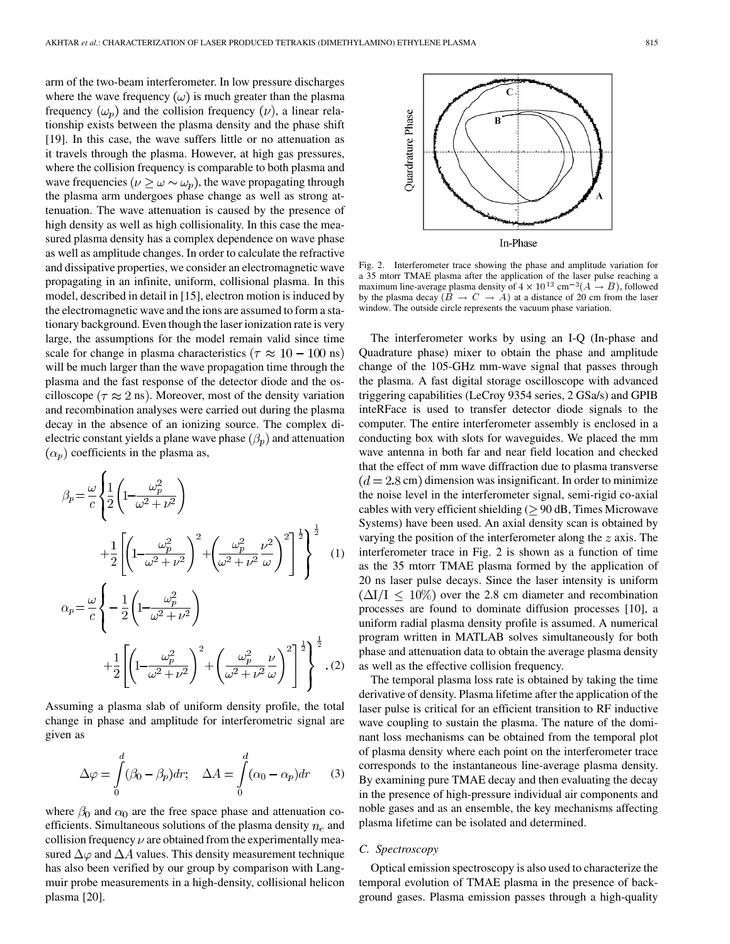arm of the two-beam interferometer. In low pressure discharges where the wave frequency  $(\omega)$  is much greater than the plasma frequency  $(\omega_p)$  and the collision frequency  $(\nu)$ , a linear relationship exists between the plasma density and the phase shift [\[19](#page-9-0)]. In this case, the wave suffers little or no attenuation as it travels through the plasma. However, at high gas pressures, where the collision frequency is comparable to both plasma and wave frequencies ( $\nu \geq \omega \sim \omega_p$ ), the wave propagating through the plasma arm undergoes phase change as well as strong attenuation. The wave attenuation is caused by the presence of high density as well as high collisionality. In this case the measured plasma density has a complex dependence on wave phase as well as amplitude changes. In order to calculate the refractive and dissipative properties, we consider an electromagnetic wave propagating in an infinite, uniform, collisional plasma. In this model, described in detail in [[15\]](#page-8-0), electron motion is induced by the electromagnetic wave and the ions are assumed to form a stationary background. Even though the laser ionization rate is very large, the assumptions for the model remain valid since time scale for change in plasma characteristics ( $\tau \approx 10 - 100$  ns) will be much larger than the wave propagation time through the plasma and the fast response of the detector diode and the oscilloscope ( $\tau \approx 2$  ns). Moreover, most of the density variation and recombination analyses were carried out during the plasma decay in the absence of an ionizing source. The complex dielectric constant yields a plane wave phase  $(\beta_p)$  and attenuation  $(\alpha_p)$  coefficients in the plasma as,

$$
\beta_p = \frac{\omega}{c} \left\{ \frac{1}{2} \left( 1 - \frac{\omega_p^2}{\omega^2 + \nu^2} \right) + \frac{1}{2} \left[ \left( 1 - \frac{\omega_p^2}{\omega^2 + \nu^2} \right)^2 + \left( \frac{\omega_p^2}{\omega^2 + \nu^2} \frac{\nu^2}{\omega} \right)^2 \right]^{\frac{1}{2}} \right\}^{\frac{1}{2}} \quad (1)
$$
  

$$
\alpha_p = \frac{\omega}{c} \left\{ -\frac{1}{2} \left( 1 - \frac{\omega_p^2}{\omega^2 + \nu^2} \right) + \frac{1}{2} \left[ \left( 1 - \frac{\omega_p^2}{\omega^2 + \nu^2} \right)^2 + \left( \frac{\omega_p^2}{\omega^2 + \nu^2} \frac{\nu}{\omega} \right)^2 \right]^{\frac{1}{2}} \right\}^{\frac{1}{2}} \quad (2)
$$

Assuming a plasma slab of uniform density profile, the total change in phase and amplitude for interferometric signal are given as

$$
\Delta \varphi = \int_{0}^{d} (\beta_0 - \beta_p) dr; \quad \Delta A = \int_{0}^{d} (\alpha_0 - \alpha_p) dr \qquad (3)
$$

where  $\beta_0$  and  $\alpha_0$  are the free space phase and attenuation coefficients. Simultaneous solutions of the plasma density  $n_e$  and collision frequency  $\nu$  are obtained from the experimentally measured  $\Delta\varphi$  and  $\Delta A$  values. This density measurement technique has also been verified by our group by comparison with Langmuir probe measurements in a high-density, collisional helicon plasma [[20\]](#page-9-0).



The interferometer works by using an I-Q (In-phase and Quadrature phase) mixer to obtain the phase and amplitude change of the 105-GHz mm-wave signal that passes through the plasma. A fast digital storage oscilloscope with advanced triggering capabilities (LeCroy 9354 series, 2 GSa/s) and GPIB inteRFace is used to transfer detector diode signals to the computer. The entire interferometer assembly is enclosed in a conducting box with slots for waveguides. We placed the mm wave antenna in both far and near field location and checked that the effect of mm wave diffraction due to plasma transverse  $(d = 2.8 \text{ cm})$  dimension was insignificant. In order to minimize the noise level in the interferometer signal, semi-rigid co-axial cables with very efficient shielding ( $\geq$  90 dB, Times Microwave Systems) have been used. An axial density scan is obtained by varying the position of the interferometer along the  $z$  axis. The interferometer trace in Fig. 2 is shown as a function of time as the 35 mtorr TMAE plasma formed by the application of 20 ns laser pulse decays. Since the laser intensity is uniform  $(\Delta I/I \leq 10\%)$  over the 2.8 cm diameter and recombination processes are found to dominate diffusion processes [[10\]](#page-8-0), a uniform radial plasma density profile is assumed. A numerical program written in MATLAB solves simultaneously for both phase and attenuation data to obtain the average plasma density as well as the effective collision frequency.

The temporal plasma loss rate is obtained by taking the time derivative of density. Plasma lifetime after the application of the laser pulse is critical for an efficient transition to RF inductive wave coupling to sustain the plasma. The nature of the dominant loss mechanisms can be obtained from the temporal plot of plasma density where each point on the interferometer trace corresponds to the instantaneous line-average plasma density. By examining pure TMAE decay and then evaluating the decay in the presence of high-pressure individual air components and noble gases and as an ensemble, the key mechanisms affecting plasma lifetime can be isolated and determined.

## *C. Spectroscopy*

Optical emission spectroscopy is also used to characterize the temporal evolution of TMAE plasma in the presence of background gases. Plasma emission passes through a high-quality

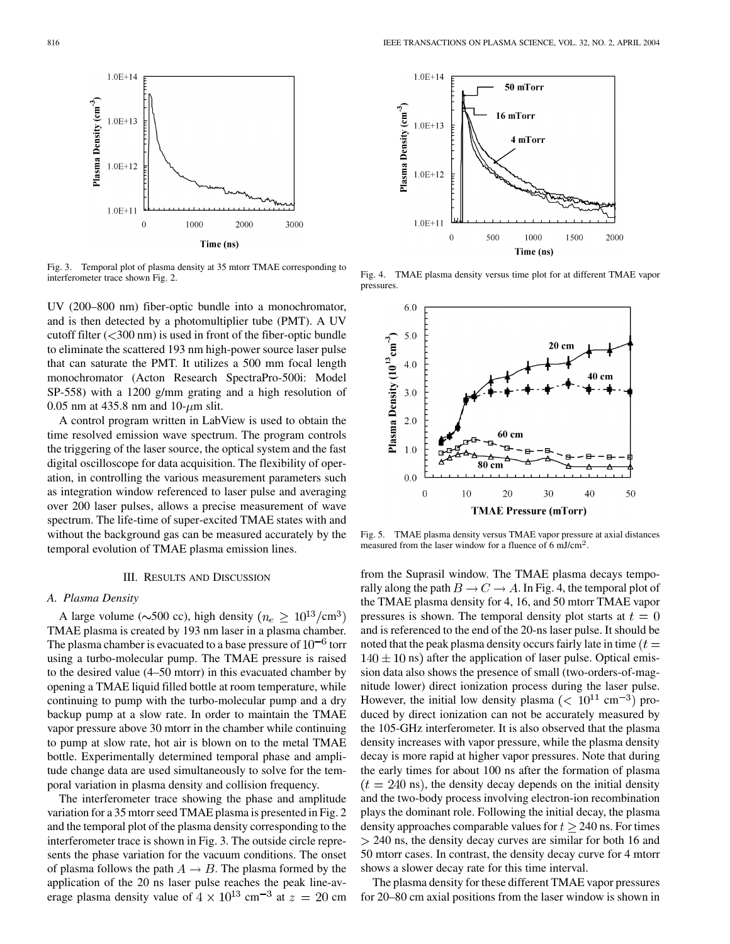

Fig. 3. Temporal plot of plasma density at 35 mtorr TMAE corresponding to interferometer trace shown Fig. 2.

UV (200–800 nm) fiber-optic bundle into a monochromator, and is then detected by a photomultiplier tube (PMT). A UV cutoff filter  $(<$ 300 nm) is used in front of the fiber-optic bundle to eliminate the scattered 193 nm high-power source laser pulse that can saturate the PMT. It utilizes a 500 mm focal length monochromator (Acton Research SpectraPro-500i: Model SP-558) with a 1200 g/mm grating and a high resolution of 0.05 nm at 435.8 nm and 10- $\mu$ m slit.

A control program written in LabView is used to obtain the time resolved emission wave spectrum. The program controls the triggering of the laser source, the optical system and the fast digital oscilloscope for data acquisition. The flexibility of operation, in controlling the various measurement parameters such as integration window referenced to laser pulse and averaging over 200 laser pulses, allows a precise measurement of wave spectrum. The life-time of super-excited TMAE states with and without the background gas can be measured accurately by the temporal evolution of TMAE plasma emission lines.

#### III. RESULTS AND DISCUSSION

## *A. Plasma Density*

A large volume ( $\sim$ 500 cc), high density ( $n_e \geq 10^{13}/\text{cm}^3$ ) TMAE plasma is created by 193 nm laser in a plasma chamber. The plasma chamber is evacuated to a base pressure of  $10^{-6}$  torr using a turbo-molecular pump. The TMAE pressure is raised to the desired value (4–50 mtorr) in this evacuated chamber by opening a TMAE liquid filled bottle at room temperature, while continuing to pump with the turbo-molecular pump and a dry backup pump at a slow rate. In order to maintain the TMAE vapor pressure above 30 mtorr in the chamber while continuing to pump at slow rate, hot air is blown on to the metal TMAE bottle. Experimentally determined temporal phase and amplitude change data are used simultaneously to solve for the temporal variation in plasma density and collision frequency.

The interferometer trace showing the phase and amplitude variation for a 35 mtorr seed TMAE plasma is presented in Fig. 2 and the temporal plot of the plasma density corresponding to the interferometer trace is shown in Fig. 3. The outside circle represents the phase variation for the vacuum conditions. The onset of plasma follows the path  $A \rightarrow B$ . The plasma formed by the application of the 20 ns laser pulse reaches the peak line-average plasma density value of  $4 \times 10^{13}$  cm<sup>-3</sup> at  $z = 20$  cm



Fig. 4. TMAE plasma density versus time plot for at different TMAE vapor pressures.



Fig. 5. TMAE plasma density versus TMAE vapor pressure at axial distances measured from the laser window for a fluence of  $6 \text{ mJ/cm}^2$ .

from the Suprasil window. The TMAE plasma decays temporally along the path  $B \to C \to A$ . In Fig. 4, the temporal plot of the TMAE plasma density for 4, 16, and 50 mtorr TMAE vapor pressures is shown. The temporal density plot starts at  $t = 0$ and is referenced to the end of the 20-ns laser pulse. It should be noted that the peak plasma density occurs fairly late in time  $(t =$  $140 \pm 10$  ns) after the application of laser pulse. Optical emission data also shows the presence of small (two-orders-of-magnitude lower) direct ionization process during the laser pulse. However, the initial low density plasma ( $\rm < 10^{11} \text{ cm}^{-3}$ ) produced by direct ionization can not be accurately measured by the 105-GHz interferometer. It is also observed that the plasma density increases with vapor pressure, while the plasma density decay is more rapid at higher vapor pressures. Note that during the early times for about 100 ns after the formation of plasma  $(t = 240 \text{ ns})$ , the density decay depends on the initial density and the two-body process involving electron-ion recombination plays the dominant role. Following the initial decay, the plasma density approaches comparable values for  $t \geq 240$  ns. For times  $> 240$  ns, the density decay curves are similar for both 16 and 50 mtorr cases. In contrast, the density decay curve for 4 mtorr shows a slower decay rate for this time interval.

The plasma density for these different TMAE vapor pressures for 20–80 cm axial positions from the laser window is shown in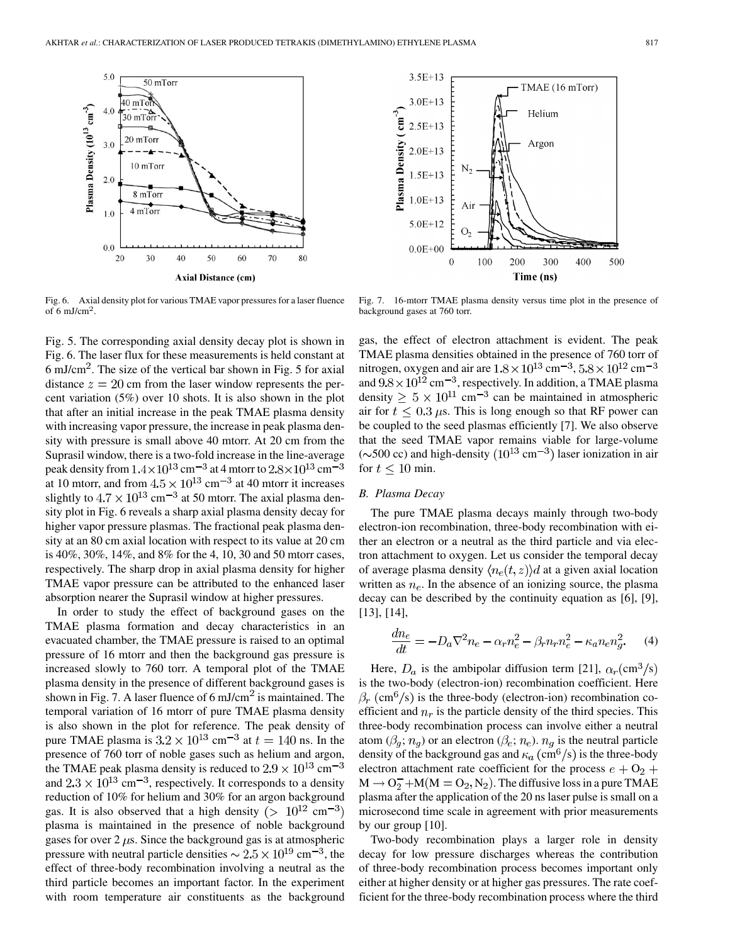

Fig. 6. Axial density plot for various TMAE vapor pressures for a laser fluence of 6 mJ/cm<sup>2</sup>.

Fig. 5. The corresponding axial density decay plot is shown in Fig. 6. The laser flux for these measurements is held constant at 6 mJ/cm<sup>2</sup>. The size of the vertical bar shown in Fig. 5 for axial distance  $z = 20$  cm from the laser window represents the percent variation (5%) over 10 shots. It is also shown in the plot that after an initial increase in the peak TMAE plasma density with increasing vapor pressure, the increase in peak plasma density with pressure is small above 40 mtorr. At 20 cm from the Suprasil window, there is a two-fold increase in the line-average peak density from  $1.4 \times 10^{13}$  cm<sup>-3</sup> at 4 mtorr to  $2.8 \times 10^{13}$  cm<sup>-3</sup> at 10 mtorr, and from  $4.5 \times 10^{13}$  cm<sup>-3</sup> at 40 mtorr it increases slightly to  $4.7 \times 10^{13}$  cm<sup>-3</sup> at 50 mtorr. The axial plasma density plot in Fig. 6 reveals a sharp axial plasma density decay for higher vapor pressure plasmas. The fractional peak plasma density at an 80 cm axial location with respect to its value at 20 cm is 40%, 30%, 14%, and 8% for the 4, 10, 30 and 50 mtorr cases, respectively. The sharp drop in axial plasma density for higher TMAE vapor pressure can be attributed to the enhanced laser absorption nearer the Suprasil window at higher pressures.

In order to study the effect of background gases on the TMAE plasma formation and decay characteristics in an evacuated chamber, the TMAE pressure is raised to an optimal pressure of 16 mtorr and then the background gas pressure is increased slowly to 760 torr. A temporal plot of the TMAE plasma density in the presence of different background gases is shown in Fig. 7. A laser fluence of  $6 \text{ mJ/cm}^2$  is maintained. The temporal variation of 16 mtorr of pure TMAE plasma density is also shown in the plot for reference. The peak density of pure TMAE plasma is  $3.2 \times 10^{13}$  cm<sup>-3</sup> at  $t = 140$  ns. In the presence of 760 torr of noble gases such as helium and argon, the TMAE peak plasma density is reduced to  $2.9 \times 10^{13}$  cm<sup>-3</sup> and  $2.3 \times 10^{13}$  cm<sup>-3</sup>, respectively. It corresponds to a density reduction of 10% for helium and 30% for an argon background gas. It is also observed that a high density ( $> 10^{12}$  cm<sup>-3</sup>) plasma is maintained in the presence of noble background gases for over  $2 \mu s$ . Since the background gas is at atmospheric pressure with neutral particle densities  $\sim 2.5 \times 10^{19}$  cm<sup>-3</sup>, the effect of three-body recombination involving a neutral as the third particle becomes an important factor. In the experiment with room temperature air constituents as the background



Fig. 7. 16-mtorr TMAE plasma density versus time plot in the presence of background gases at 760 torr.

gas, the effect of electron attachment is evident. The peak TMAE plasma densities obtained in the presence of 760 torr of nitrogen, oxygen and air are  $1.8 \times 10^{13}$  cm<sup>-3</sup>,  $5.8 \times 10^{12}$  cm<sup>-3</sup> and  $9.8 \times 10^{12}$  cm<sup>-3</sup>, respectively. In addition, a TMAE plasma density  $\geq 5 \times 10^{11}$  cm<sup>-3</sup> can be maintained in atmospheric air for  $t \leq 0.3 \mu s$ . This is long enough so that RF power can be coupled to the seed plasmas efficiently [[7\]](#page-8-0). We also observe that the seed TMAE vapor remains viable for large-volume ( $\sim$ 500 cc) and high-density ( $10^{13}$  cm<sup>-3</sup>) laser ionization in air for  $t < 10$  min.

## *B. Plasma Decay*

The pure TMAE plasma decays mainly through two-body electron-ion recombination, three-body recombination with either an electron or a neutral as the third particle and via electron attachment to oxygen. Let us consider the temporal decay of average plasma density  $\langle n_e(t,z) \rangle d$  at a given axial location written as  $n_e$ . In the absence of an ionizing source, the plasma decay can be described by the continuity equation as [[6\]](#page-8-0), [\[9](#page-8-0)], [\[13](#page-8-0)], [[14\]](#page-8-0),

$$
\frac{dn_e}{dt} = -D_a \nabla^2 n_e - \alpha_r n_e^2 - \beta_r n_r n_e^2 - \kappa_a n_e n_g^2. \tag{4}
$$

Here,  $D_a$  is the ambipolar diffusion term [[21\]](#page-9-0),  $\alpha_r$ (cm<sup>3</sup>/s) is the two-body (electron-ion) recombination coefficient. Here  $\beta_r$  (cm<sup>6</sup>/s) is the three-body (electron-ion) recombination coefficient and  $n_r$  is the particle density of the third species. This three-body recombination process can involve either a neutral atom  $(\beta_g; n_g)$  or an electron  $(\beta_e; n_e)$ .  $n_g$  is the neutral particle density of the background gas and  $\kappa_a$  (cm<sup>6</sup>/s) is the three-body electron attachment rate coefficient for the process  $e + O_2$  +  $M \rightarrow O_2^- + M(M = O_2, N_2)$ . The diffusive loss in a pure TMAE plasma after the application of the 20 ns laser pulse is small on a microsecond time scale in agreement with prior measurements by our group [[10\]](#page-8-0).

Two-body recombination plays a larger role in density decay for low pressure discharges whereas the contribution of three-body recombination process becomes important only either at higher density or at higher gas pressures. The rate coefficient for the three-body recombination process where the third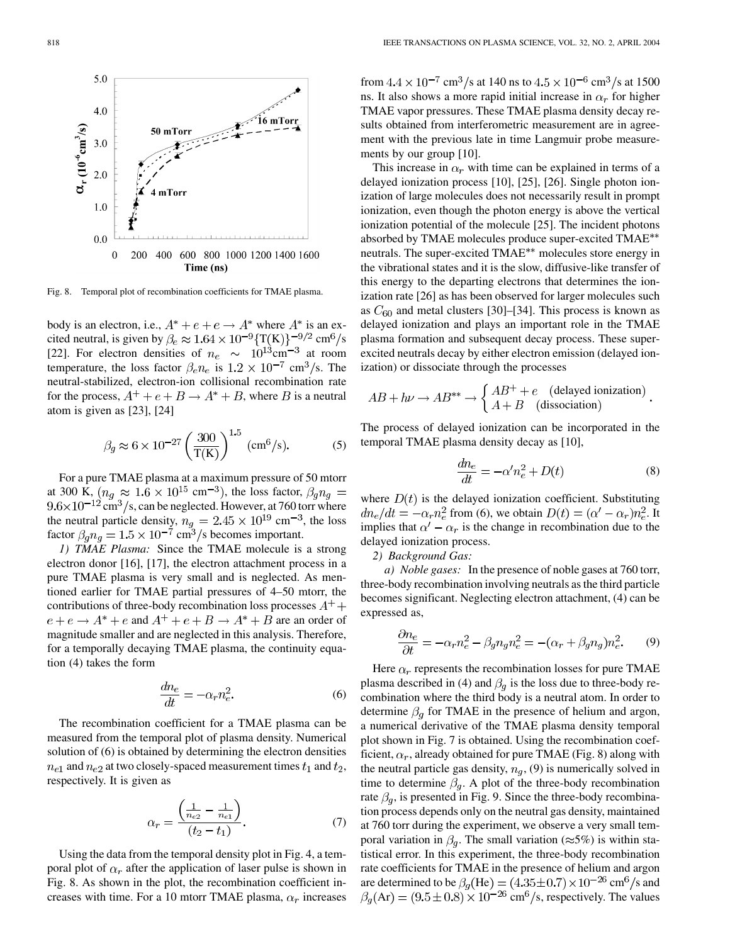

Fig. 8. Temporal plot of recombination coefficients for TMAE plasma.

body is an electron, i.e.,  $A^* + e + e \rightarrow A^*$  where  $A^*$  is an excited neutral, is given by  $\beta_e \approx 1.64 \times 10^{-9} \{ \text{T(K)} \}^{-9/2} \text{ cm}^6/\text{s}$ [[22\]](#page-9-0). For electron densities of  $n_e \sim 10^{13} \text{cm}^{-3}$  at room temperature, the loss factor  $\beta_e n_e$  is  $1.2 \times 10^{-7}$  cm<sup>3</sup>/s. The neutral-stabilized, electron-ion collisional recombination rate for the process,  $A^+ + e + B \rightarrow A^* + B$ , where B is a neutral atom is given as [[23\]](#page-9-0), [[24\]](#page-9-0)

$$
\beta_g \approx 6 \times 10^{-27} \left(\frac{300}{T(K)}\right)^{1.5}
$$
 (cm<sup>6</sup>/s). (5)

For a pure TMAE plasma at a maximum pressure of 50 mtorr at 300 K,  $(n_q \approx 1.6 \times 10^{15} \text{ cm}^{-3})$ , the loss factor,  $\beta_q n_q =$  $9.6 \times 10^{-12}$  cm<sup>3</sup>/s, can be neglected. However, at 760 torr where the neutral particle density,  $n_q = 2.45 \times 10^{19}$  cm<sup>-3</sup>, the loss factor  $\beta_q n_q = 1.5 \times 10^{-7}$  cm<sup>3</sup>/s becomes important.

*1) TMAE Plasma:* Since the TMAE molecule is a strong electron donor [\[16](#page-8-0)], [\[17](#page-8-0)], the electron attachment process in a pure TMAE plasma is very small and is neglected. As mentioned earlier for TMAE partial pressures of 4–50 mtorr, the contributions of three-body recombination loss processes  $A^+$  +  $e + e \rightarrow A^* + e$  and  $A^+ + e + B \rightarrow A^* + B$  are an order of magnitude smaller and are neglected in this analysis. Therefore, for a temporally decaying TMAE plasma, the continuity equation (4) takes the form

$$
\frac{dn_e}{dt} = -\alpha_r n_e^2. \tag{6}
$$

The recombination coefficient for a TMAE plasma can be measured from the temporal plot of plasma density. Numerical solution of (6) is obtained by determining the electron densities  $n_{e1}$  and  $n_{e2}$  at two closely-spaced measurement times  $t_1$  and  $t_2$ , respectively. It is given as

$$
\alpha_r = \frac{\left(\frac{1}{n_{e2}} - \frac{1}{n_{e1}}\right)}{(t_2 - t_1)}.
$$
\n(7)

Using the data from the temporal density plot in Fig. 4, a temporal plot of  $\alpha_r$  after the application of laser pulse is shown in Fig. 8. As shown in the plot, the recombination coefficient increases with time. For a 10 mtorr TMAE plasma,  $\alpha_r$  increases from  $4.4 \times 10^{-7}$  cm<sup>3</sup>/s at 140 ns to  $4.5 \times 10^{-6}$  cm<sup>3</sup>/s at 1500 ns. It also shows a more rapid initial increase in  $\alpha_r$  for higher TMAE vapor pressures. These TMAE plasma density decay results obtained from interferometric measurement are in agreement with the previous late in time Langmuir probe measurements by our group [[10\]](#page-8-0).

This increase in  $\alpha_r$  with time can be explained in terms of a delayed ionization process [[10\]](#page-8-0), [[25\]](#page-9-0), [[26\]](#page-9-0). Single photon ionization of large molecules does not necessarily result in prompt ionization, even though the photon energy is above the vertical ionization potential of the molecule [[25\]](#page-9-0). The incident photons absorbed by TMAE molecules produce super-excited TMAE neutrals. The super-excited TMAE<sup>\*\*</sup> molecules store energy in the vibrational states and it is the slow, diffusive-like transfer of this energy to the departing electrons that determines the ionization rate [[26\]](#page-9-0) as has been observed for larger molecules such as  $C_{60}$  and metal clusters [[30\]](#page-9-0)–[\[34](#page-9-0)]. This process is known as delayed ionization and plays an important role in the TMAE plasma formation and subsequent decay process. These superexcited neutrals decay by either electron emission (delayed ionization) or dissociate through the processes

$$
AB + h\nu \to AB^{**} \to \begin{cases} AB^+ + e & (\text{delayed ionization})\\ A + B & (\text{dissociation}) \end{cases}
$$

The process of delayed ionization can be incorporated in the temporal TMAE plasma density decay as [\[10\]](#page-8-0),

$$
\frac{dn_e}{dt} = -\alpha' n_e^2 + D(t) \tag{8}
$$

where  $D(t)$  is the delayed ionization coefficient. Substituting  $dn_e/dt = -\alpha_r n_e^2$  from (6), we obtain  $D(t) = (\alpha' - \alpha_r)n_e^2$ . It implies that  $\alpha' - \alpha_r$  is the change in recombination due to the delayed ionization process.

*2) Background Gas:*

*a) Noble gases:* In the presence of noble gases at 760 torr, three-body recombination involving neutrals as the third particle becomes significant. Neglecting electron attachment, (4) can be expressed as,

$$
\frac{\partial n_e}{\partial t} = -\alpha_r n_e^2 - \beta_g n_g n_e^2 = -(\alpha_r + \beta_g n_g) n_e^2. \tag{9}
$$

Here  $\alpha_r$  represents the recombination losses for pure TMAE plasma described in (4) and  $\beta_q$  is the loss due to three-body recombination where the third body is a neutral atom. In order to determine  $\beta_q$  for TMAE in the presence of helium and argon, a numerical derivative of the TMAE plasma density temporal plot shown in Fig. 7 is obtained. Using the recombination coefficient,  $\alpha_r$ , already obtained for pure TMAE (Fig. 8) along with the neutral particle gas density,  $n_q$ , (9) is numerically solved in time to determine  $\beta_q$ . A plot of the three-body recombination rate  $\beta_q$ , is presented in Fig. 9. Since the three-body recombination process depends only on the neutral gas density, maintained at 760 torr during the experiment, we observe a very small temporal variation in  $\beta_q$ . The small variation ( $\approx$ 5%) is within statistical error. In this experiment, the three-body recombination rate coefficients for TMAE in the presence of helium and argon are determined to be  $\beta_g(\text{He}) = (4.35 \pm 0.7) \times 10^{-26} \text{ cm}^6/\text{s}$  and  $\beta_g(\text{Ar}) = (9.5 \pm 0.8) \times 10^{-26} \text{ cm}^6/\text{s}$ , respectively. The values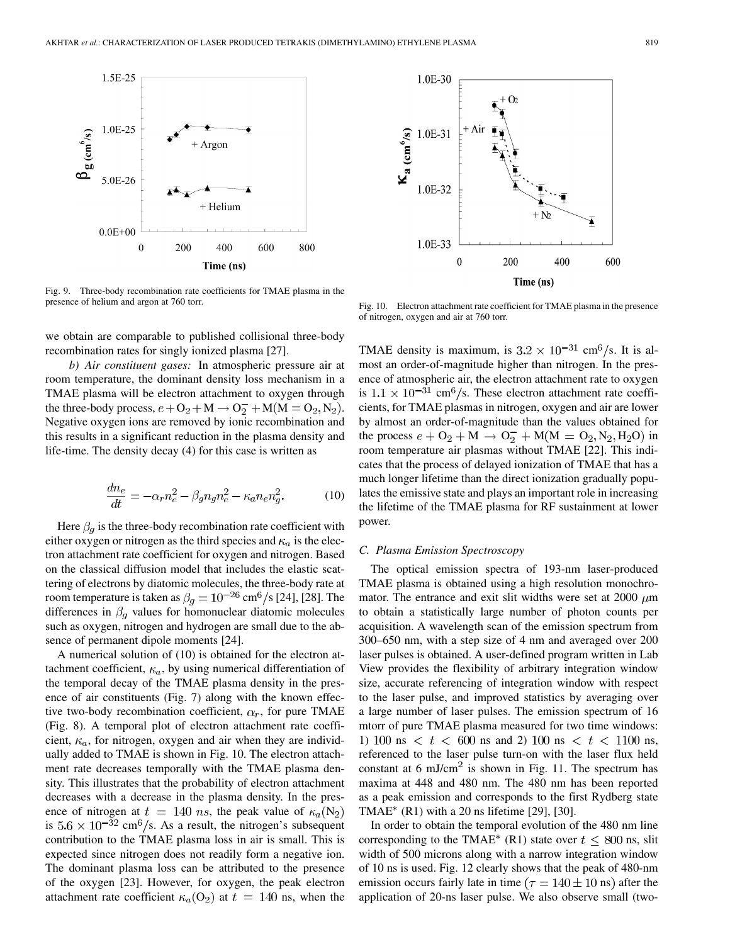

Fig. 9. Three-body recombination rate coefficients for TMAE plasma in the presence of helium and argon at 760 torr.

we obtain are comparable to published collisional three-body recombination rates for singly ionized plasma [[27\]](#page-9-0).

*b) Air constituent gases:* In atmospheric pressure air at room temperature, the dominant density loss mechanism in a TMAE plasma will be electron attachment to oxygen through the three-body process,  $e + O_2 + M \rightarrow O_2^- + M(M = O_2, N_2)$ . Negative oxygen ions are removed by ionic recombination and this results in a significant reduction in the plasma density and life-time. The density decay (4) for this case is written as

$$
\frac{dn_e}{dt} = -\alpha_r n_e^2 - \beta_g n_g n_e^2 - \kappa_a n_e n_g^2. \tag{10}
$$

Here  $\beta_q$  is the three-body recombination rate coefficient with either oxygen or nitrogen as the third species and  $\kappa_a$  is the electron attachment rate coefficient for oxygen and nitrogen. Based on the classical diffusion model that includes the elastic scattering of electrons by diatomic molecules, the three-body rate at room temperature is taken as  $\beta_g = 10^{-26}$  cm<sup>6</sup>/s [[24\]](#page-9-0), [[28\]](#page-9-0). The differences in  $\beta_q$  values for homonuclear diatomic molecules such as oxygen, nitrogen and hydrogen are small due to the absence of permanent dipole moments [[24\]](#page-9-0).

A numerical solution of (10) is obtained for the electron attachment coefficient,  $\kappa_a$ , by using numerical differentiation of the temporal decay of the TMAE plasma density in the presence of air constituents (Fig. 7) along with the known effective two-body recombination coefficient,  $\alpha_r$ , for pure TMAE (Fig. 8). A temporal plot of electron attachment rate coefficient,  $\kappa_a$ , for nitrogen, oxygen and air when they are individually added to TMAE is shown in Fig. 10. The electron attachment rate decreases temporally with the TMAE plasma density. This illustrates that the probability of electron attachment decreases with a decrease in the plasma density. In the presence of nitrogen at  $t = 140$  ns, the peak value of  $\kappa_a(N_2)$ is  $5.6 \times 10^{-32}$  cm<sup>6</sup>/s. As a result, the nitrogen's subsequent contribution to the TMAE plasma loss in air is small. This is expected since nitrogen does not readily form a negative ion. The dominant plasma loss can be attributed to the presence of the oxygen [[23\]](#page-9-0). However, for oxygen, the peak electron attachment rate coefficient  $\kappa_a$ (O<sub>2</sub>) at  $t = 140$  ns, when the



Fig. 10. Electron attachment rate coefficient for TMAE plasma in the presence of nitrogen, oxygen and air at 760 torr.

TMAE density is maximum, is  $3.2 \times 10^{-31}$  cm<sup>6</sup>/s. It is almost an order-of-magnitude higher than nitrogen. In the presence of atmospheric air, the electron attachment rate to oxygen is  $1.1 \times 10^{-31}$  cm<sup>6</sup>/s. These electron attachment rate coefficients, for TMAE plasmas in nitrogen, oxygen and air are lower by almost an order-of-magnitude than the values obtained for the process  $e + O_2 + M \rightarrow O_2^- + M(M = O_2, N_2, H_2O)$  in room temperature air plasmas without TMAE [[22](#page-9-0)]. This indicates that the process of delayed ionization of TMAE that has a much longer lifetime than the direct ionization gradually populates the emissive state and plays an important role in increasing the lifetime of the TMAE plasma for RF sustainment at lower power.

## *C. Plasma Emission Spectroscopy*

The optical emission spectra of 193-nm laser-produced TMAE plasma is obtained using a high resolution monochromator. The entrance and exit slit widths were set at 2000  $\mu$ m to obtain a statistically large number of photon counts per acquisition. A wavelength scan of the emission spectrum from 300–650 nm, with a step size of 4 nm and averaged over 200 laser pulses is obtained. A user-defined program written in Lab View provides the flexibility of arbitrary integration window size, accurate referencing of integration window with respect to the laser pulse, and improved statistics by averaging over a large number of laser pulses. The emission spectrum of 16 mtorr of pure TMAE plasma measured for two time windows: 1) 100 ns  $\langle t \rangle$  t  $\langle 600 \rangle$  ns and 2) 100 ns  $\langle t \rangle$  t  $\langle 1100 \rangle$  ns, referenced to the laser pulse turn-on with the laser flux held constant at 6 mJ/cm<sup>2</sup> is shown in Fig. 11. The spectrum has maxima at 448 and 480 nm. The 480 nm has been reported as a peak emission and corresponds to the first Rydberg state  $TMAE^*$  (R1) with a 20 ns lifetime [\[29](#page-9-0)], [[30\]](#page-9-0).

In order to obtain the temporal evolution of the 480 nm line corresponding to the TMAE\* (R1) state over  $t \leq 800$  ns, slit width of 500 microns along with a narrow integration window of 10 ns is used. Fig. 12 clearly shows that the peak of 480-nm emission occurs fairly late in time ( $\tau = 140 \pm 10$  ns) after the application of 20-ns laser pulse. We also observe small (two-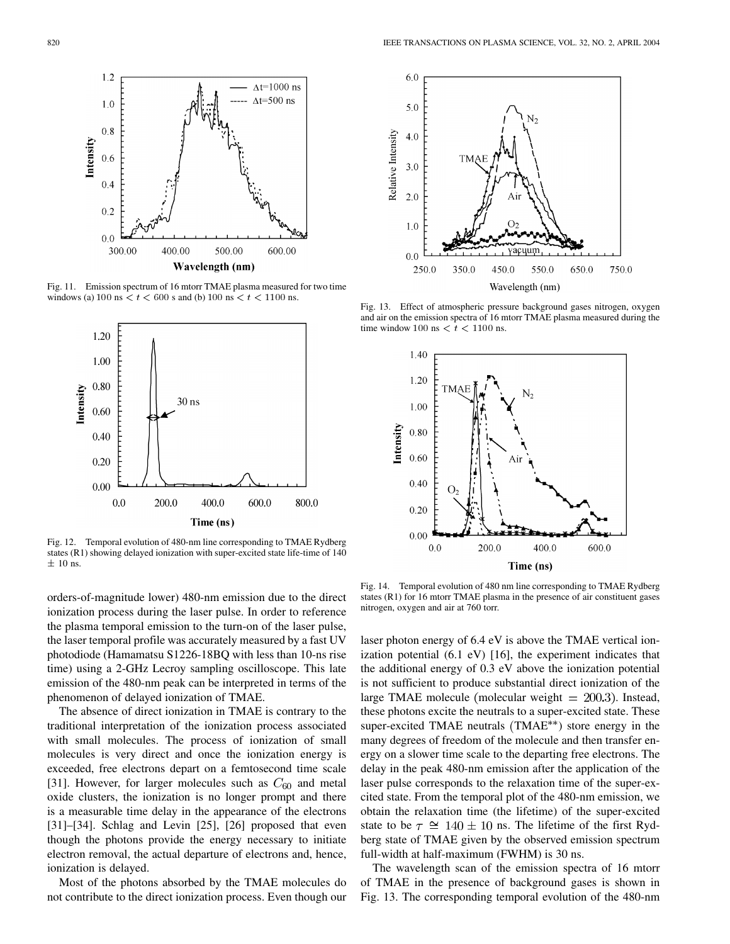

Fig. 11. Emission spectrum of 16 mtorr TMAE plasma measured for two time windows (a) 100 ns  $\lt t \lt 600$  s and (b) 100 ns  $\lt t \lt 1100$  ns.



Fig. 12. Temporal evolution of 480-nm line corresponding to TMAE Rydberg states (R1) showing delayed ionization with super-excited state life-time of 140  $\pm$  10 ns.

orders-of-magnitude lower) 480-nm emission due to the direct ionization process during the laser pulse. In order to reference the plasma temporal emission to the turn-on of the laser pulse, the laser temporal profile was accurately measured by a fast UV photodiode (Hamamatsu S1226-18BQ with less than 10-ns rise time) using a 2-GHz Lecroy sampling oscilloscope. This late emission of the 480-nm peak can be interpreted in terms of the phenomenon of delayed ionization of TMAE.

The absence of direct ionization in TMAE is contrary to the traditional interpretation of the ionization process associated with small molecules. The process of ionization of small molecules is very direct and once the ionization energy is exceeded, free electrons depart on a femtosecond time scale [[31\]](#page-9-0). However, for larger molecules such as  $C_{60}$  and metal oxide clusters, the ionization is no longer prompt and there is a measurable time delay in the appearance of the electrons [[31\]](#page-9-0)–[\[34](#page-9-0)]. Schlag and Levin [\[25](#page-9-0)], [\[26](#page-9-0)] proposed that even though the photons provide the energy necessary to initiate electron removal, the actual departure of electrons and, hence, ionization is delayed.

Most of the photons absorbed by the TMAE molecules do not contribute to the direct ionization process. Even though our



Fig. 13. Effect of atmospheric pressure background gases nitrogen, oxygen and air on the emission spectra of 16 mtorr TMAE plasma measured during the time window 100 ns  $\lt t \lt 1100$  ns.



Fig. 14. Temporal evolution of 480 nm line corresponding to TMAE Rydberg states (R1) for 16 mtorr TMAE plasma in the presence of air constituent gases nitrogen, oxygen and air at 760 torr.

laser photon energy of 6.4 eV is above the TMAE vertical ionization potential (6.1 eV) [[16\]](#page-8-0), the experiment indicates that the additional energy of 0.3 eV above the ionization potential is not sufficient to produce substantial direct ionization of the large TMAE molecule (molecular weight  $= 200.3$ ). Instead, these photons excite the neutrals to a super-excited state. These super-excited TMAE neutrals  $(TMAE^{**})$  store energy in the many degrees of freedom of the molecule and then transfer energy on a slower time scale to the departing free electrons. The delay in the peak 480-nm emission after the application of the laser pulse corresponds to the relaxation time of the super-excited state. From the temporal plot of the 480-nm emission, we obtain the relaxation time (the lifetime) of the super-excited state to be  $\tau \cong 140 \pm 10$  ns. The lifetime of the first Rydberg state of TMAE given by the observed emission spectrum full-width at half-maximum (FWHM) is 30 ns.

The wavelength scan of the emission spectra of 16 mtorr of TMAE in the presence of background gases is shown in Fig. 13. The corresponding temporal evolution of the 480-nm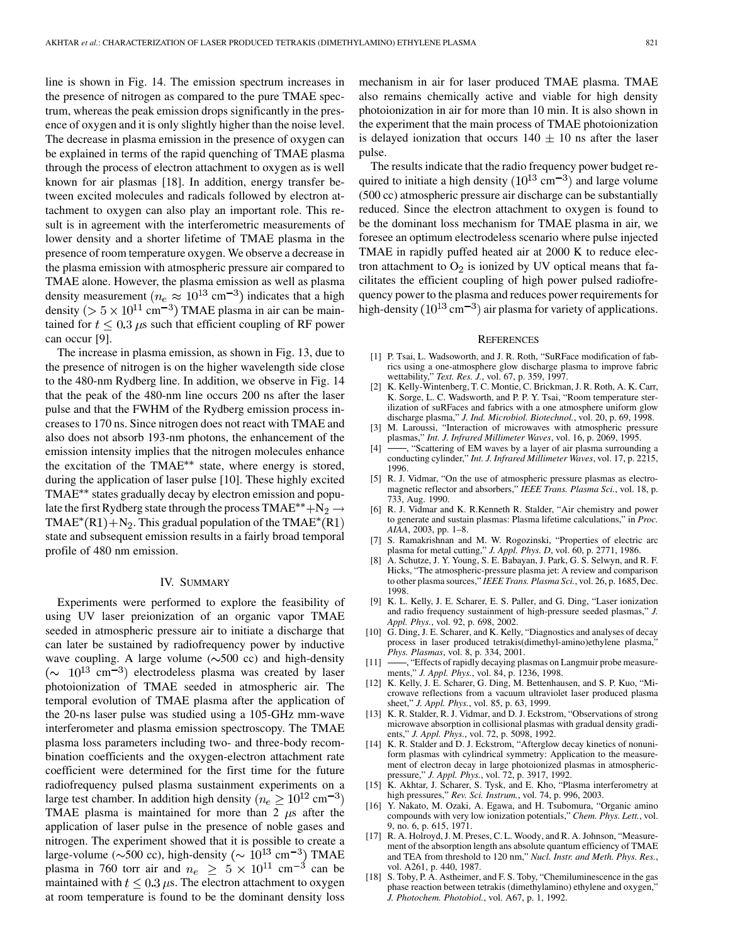<span id="page-8-0"></span>line is shown in Fig. 14. The emission spectrum increases in the presence of nitrogen as compared to the pure TMAE spectrum, whereas the peak emission drops significantly in the presence of oxygen and it is only slightly higher than the noise level. The decrease in plasma emission in the presence of oxygen can be explained in terms of the rapid quenching of TMAE plasma through the process of electron attachment to oxygen as is well known for air plasmas [18]. In addition, energy transfer between excited molecules and radicals followed by electron attachment to oxygen can also play an important role. This result is in agreement with the interferometric measurements of lower density and a shorter lifetime of TMAE plasma in the presence of room temperature oxygen. We observe a decrease in the plasma emission with atmospheric pressure air compared to TMAE alone. However, the plasma emission as well as plasma density measurement ( $n_e \approx 10^{13}$  cm<sup>-3</sup>) indicates that a high density ( $> 5 \times 10^{11}$  cm<sup>-3</sup>) TMAE plasma in air can be maintained for  $t \leq 0.3 \mu s$  such that efficient coupling of RF power can occur [9].

The increase in plasma emission, as shown in Fig. 13, due to the presence of nitrogen is on the higher wavelength side close to the 480-nm Rydberg line. In addition, we observe in Fig. 14 that the peak of the 480-nm line occurs 200 ns after the laser pulse and that the FWHM of the Rydberg emission process increases to 170 ns. Since nitrogen does not react with TMAE and also does not absorb 193-nm photons, the enhancement of the emission intensity implies that the nitrogen molecules enhance the excitation of the TMAE<sup>\*\*</sup> state, where energy is stored, during the application of laser pulse [10]. These highly excited TMAE<sup>\*\*</sup> states gradually decay by electron emission and populate the first Rydberg state through the process TMAE<sup>\*\*</sup>+N<sub>2</sub>  $\rightarrow$ TMAE<sup>\*</sup>(R1)+N<sub>2</sub>. This gradual population of the TMAE<sup>\*</sup>(R1) state and subsequent emission results in a fairly broad temporal profile of 480 nm emission.

## IV. SUMMARY

Experiments were performed to explore the feasibility of using UV laser preionization of an organic vapor TMAE seeded in atmospheric pressure air to initiate a discharge that can later be sustained by radiofrequency power by inductive wave coupling. A large volume  $(\sim 500 \text{ cc})$  and high-density  $({\sim}$  10<sup>13</sup> cm<sup>-3</sup>) electrodeless plasma was created by laser photoionization of TMAE seeded in atmospheric air. The temporal evolution of TMAE plasma after the application of the 20-ns laser pulse was studied using a 105-GHz mm-wave interferometer and plasma emission spectroscopy. The TMAE plasma loss parameters including two- and three-body recombination coefficients and the oxygen-electron attachment rate coefficient were determined for the first time for the future radiofrequency pulsed plasma sustainment experiments on a large test chamber. In addition high density ( $n_e \ge 10^{12}$  cm<sup>-3</sup>) TMAE plasma is maintained for more than 2  $\mu$ s after the application of laser pulse in the presence of noble gases and nitrogen. The experiment showed that it is possible to create a large-volume ( $\sim$ 500 cc), high-density ( $\sim 10^{13}$  cm<sup>-3</sup>) TMAE plasma in 760 torr air and  $n_e \geq 5 \times 10^{11}$  cm<sup>-3</sup> can be maintained with  $t \leq 0.3 \,\mu s$ . The electron attachment to oxygen at room temperature is found to be the dominant density loss

mechanism in air for laser produced TMAE plasma. TMAE also remains chemically active and viable for high density photoionization in air for more than 10 min. It is also shown in the experiment that the main process of TMAE photoionization is delayed ionization that occurs  $140 \pm 10$  ns after the laser pulse.

The results indicate that the radio frequency power budget required to initiate a high density  $(10^{13} \text{ cm}^{-3})$  and large volume (500 cc) atmospheric pressure air discharge can be substantially reduced. Since the electron attachment to oxygen is found to be the dominant loss mechanism for TMAE plasma in air, we foresee an optimum electrodeless scenario where pulse injected TMAE in rapidly puffed heated air at 2000 K to reduce electron attachment to  $O_2$  is ionized by UV optical means that facilitates the efficient coupling of high power pulsed radiofrequency power to the plasma and reduces power requirements for high-density  $(10^{13} \text{ cm}^{-3})$  air plasma for variety of applications.

#### **REFERENCES**

- [1] P. Tsai, L. Wadsoworth, and J. R. Roth, "SuRFace modification of fabrics using a one-atmosphere glow discharge plasma to improve fabric wettability," *Text. Res. J.*, vol. 67, p. 359, 1997.
- [2] K. Kelly-Wintenberg, T. C. Montie, C. Brickman, J. R. Roth, A. K. Carr, K. Sorge, L. C. Wadsworth, and P. P. Y. Tsai, "Room temperature sterilization of suRFaces and fabrics with a one atmosphere uniform glow discharge plasma," *J. Ind. Microbiol. Biotechnol.*, vol. 20, p. 69, 1998.
- [3] M. Laroussi, "Interaction of microwaves with atmospheric pressure plasmas," *Int. J. Infrared Millimeter Waves*, vol. 16, p. 2069, 1995.
- -, "Scattering of EM waves by a layer of air plasma surrounding a conducting cylinder," *Int. J. Infrared Millimeter Waves*, vol. 17, p. 2215, 1996.
- [5] R. J. Vidmar, "On the use of atmospheric pressure plasmas as electromagnetic reflector and absorbers," *IEEE Trans. Plasma Sci.*, vol. 18, p. 733, Aug. 1990.
- [6] R. J. Vidmar and K. R.Kenneth R. Stalder, "Air chemistry and power to generate and sustain plasmas: Plasma lifetime calculations," in *Proc. AIAA*, 2003, pp. 1–8.
- [7] S. Ramakrishnan and M. W. Rogozinski, "Properties of electric arc plasma for metal cutting," *J. Appl. Phys. D*, vol. 60, p. 2771, 1986.
- [8] A. Schutze, J. Y. Young, S. E. Babayan, J. Park, G. S. Selwyn, and R. F. Hicks, "The atmospheric-pressure plasma jet: A review and comparison to other plasma sources," *IEEE Trans. Plasma Sci.*, vol. 26, p. 1685, Dec. 1998.
- [9] K. L. Kelly, J. E. Scharer, E. S. Paller, and G. Ding, "Laser ionization and radio frequency sustainment of high-pressure seeded plasmas," *J. Appl. Phys.*, vol. 92, p. 698, 2002.
- [10] G. Ding, J. E. Scharer, and K. Kelly, "Diagnostics and analyses of decay process in laser produced tetrakis(dimethyl-amino)ethylene plasma," *Phys. Plasmas*, vol. 8, p. 334, 2001.
- [11] -, "Effects of rapidly decaying plasmas on Langmuir probe measurements," *J. Appl. Phys.*, vol. 84, p. 1236, 1998.
- [12] K. Kelly, J. E. Scharer, G. Ding, M. Bettenhausen, and S. P. Kuo, "Microwave reflections from a vacuum ultraviolet laser produced plasma sheet," *J. Appl. Phys.*, vol. 85, p. 63, 1999.
- [13] K. R. Stalder, R. J. Vidmar, and D. J. Eckstrom, "Observations of strong microwave absorption in collisional plasmas with gradual density gradients," *J. Appl. Phys.*, vol. 72, p. 5098, 1992.
- [14] K. R. Stalder and D. J. Eckstrom, "Afterglow decay kinetics of nonuniform plasmas with cylindrical symmetry: Application to the measurement of electron decay in large photoionized plasmas in atmosphericpressure," *J. Appl. Phys.*, vol. 72, p. 3917, 1992.
- [15] K. Akhtar, J. Scharer, S. Tysk, and E. Kho, "Plasma interferometry at high pressures," *Rev. Sci. Instrum.*, vol. 74, p. 996, 2003.
- [16] Y. Nakato, M. Ozaki, A. Egawa, and H. Tsubomura, "Organic amino compounds with very low ionization potentials," *Chem. Phys. Lett.*, vol. 9, no. 6, p. 615, 1971.
- [17] R. A. Holroyd, J. M. Preses, C. L. Woody, and R. A. Johnson, "Measurement of the absorption length ans absolute quantum efficiency of TMAE and TEA from threshold to 120 nm," *Nucl. Instr. and Meth. Phys. Res.*, vol. A261, p. 440, 1987.
- [18] S. Toby, P. A. Astheimer, and F. S. Toby, "Chemiluminescence in the gas phase reaction between tetrakis (dimethylamino) ethylene and oxygen," *J. Photochem. Photobiol.*, vol. A67, p. 1, 1992.